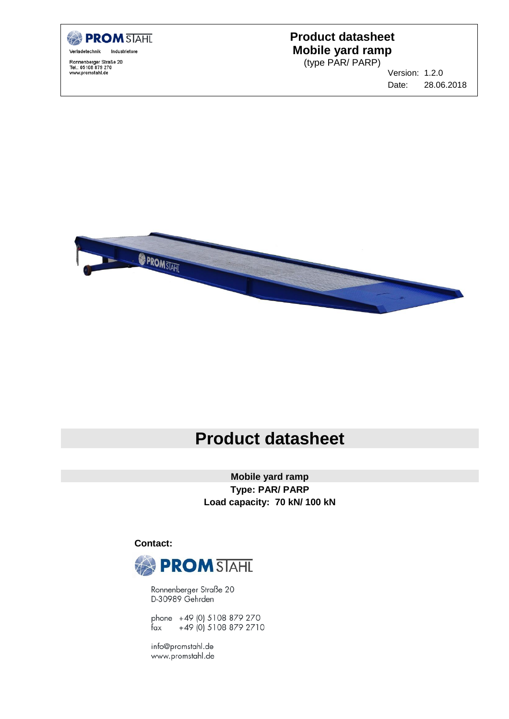

Ronnenberger Straße 20<br>Tel.: 05108 879 270<br>www.promstahl.de

## **Product datasheet Mobile yard ramp**

(type PAR/ PARP)

Version: 1.2.0 Date: 28.06.2018



# **Product datasheet**

**Mobile yard ramp Type: PAR/ PARP Load capacity: 70 kN/ 100 kN**

 **Contact:**



Ronnenberger Straße 20 D-30989 Gehrden

phone +49 (0) 5108 879 270 +49 (0) 5108 879 2710 fax

info@promstahl.de www.promstahl.de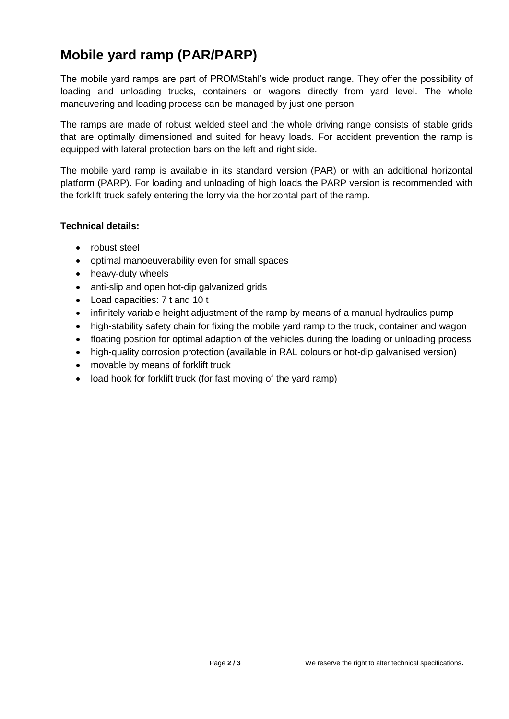## **Mobile yard ramp (PAR/PARP)**

The mobile yard ramps are part of PROMStahl's wide product range. They offer the possibility of loading and unloading trucks, containers or wagons directly from yard level. The whole maneuvering and loading process can be managed by just one person.

The ramps are made of robust welded steel and the whole driving range consists of stable grids that are optimally dimensioned and suited for heavy loads. For accident prevention the ramp is equipped with lateral protection bars on the left and right side.

The mobile yard ramp is available in its standard version (PAR) or with an additional horizontal platform (PARP). For loading and unloading of high loads the PARP version is recommended with the forklift truck safely entering the lorry via the horizontal part of the ramp.

#### **Technical details:**

- robust steel
- optimal manoeuverability even for small spaces
- heavy-duty wheels
- anti-slip and open hot-dip galvanized grids
- Load capacities: 7 t and 10 t
- infinitely variable height adjustment of the ramp by means of a manual hydraulics pump
- high-stability safety chain for fixing the mobile yard ramp to the truck, container and wagon
- floating position for optimal adaption of the vehicles during the loading or unloading process
- high-quality corrosion protection (available in RAL colours or hot-dip galvanised version)
- movable by means of forklift truck
- load hook for forklift truck (for fast moving of the yard ramp)